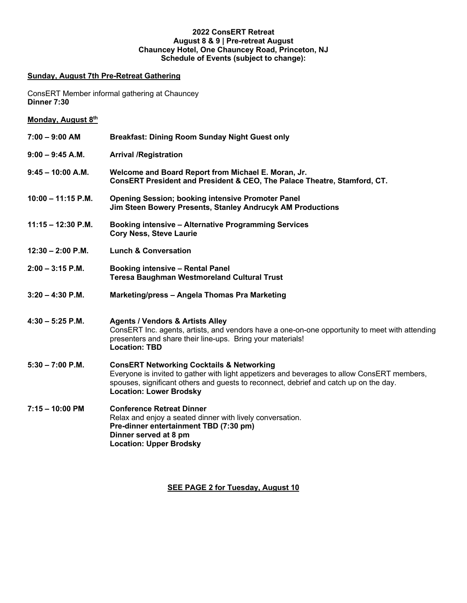## **2022 ConsERT Retreat August 8 & 9 | Pre-retreat August Chauncey Hotel, One Chauncey Road, Princeton, NJ Schedule of Events (subject to change):**

## **Sunday, August 7th Pre-Retreat Gathering**

ConsERT Member informal gathering at Chauncey **Dinner 7:30**

| Monday, August 8th |  |  |  |
|--------------------|--|--|--|
|--------------------|--|--|--|

| $7:00 - 9:00$ AM     | <b>Breakfast: Dining Room Sunday Night Guest only</b>                                                                                                                                                                                                                          |
|----------------------|--------------------------------------------------------------------------------------------------------------------------------------------------------------------------------------------------------------------------------------------------------------------------------|
| 9:00 – 9:45 A.M.     | <b>Arrival /Registration</b>                                                                                                                                                                                                                                                   |
| $9:45 - 10:00$ A.M.  | Welcome and Board Report from Michael E. Moran, Jr.<br>ConsERT President and President & CEO, The Palace Theatre, Stamford, CT.                                                                                                                                                |
| $10:00 - 11:15$ P.M. | <b>Opening Session; booking intensive Promoter Panel</b><br>Jim Steen Bowery Presents, Stanley Andrucyk AM Productions                                                                                                                                                         |
| $11:15 - 12:30$ P.M. | <b>Booking intensive - Alternative Programming Services</b><br><b>Cory Ness, Steve Laurie</b>                                                                                                                                                                                  |
| $12:30 - 2:00$ P.M.  | <b>Lunch &amp; Conversation</b>                                                                                                                                                                                                                                                |
| 2:00 - 3:15 P.M.     | <b>Booking intensive - Rental Panel</b><br><b>Teresa Baughman Westmoreland Cultural Trust</b>                                                                                                                                                                                  |
| $3:20 - 4:30$ P.M.   | Marketing/press - Angela Thomas Pra Marketing                                                                                                                                                                                                                                  |
| 4:30 – 5:25 P.M.     | <b>Agents / Vendors &amp; Artists Alley</b><br>ConsERT Inc. agents, artists, and vendors have a one-on-one opportunity to meet with attending<br>presenters and share their line-ups. Bring your materials!<br><b>Location: TBD</b>                                            |
| $5:30 - 7:00$ P.M.   | <b>ConsERT Networking Cocktails &amp; Networking</b><br>Everyone is invited to gather with light appetizers and beverages to allow ConsERT members,<br>spouses, significant others and guests to reconnect, debrief and catch up on the day.<br><b>Location: Lower Brodsky</b> |
| 7:15 - 10:00 PM      | <b>Conference Retreat Dinner</b><br>Relax and enjoy a seated dinner with lively conversation.<br>Pre-dinner entertainment TBD (7:30 pm)<br>Dinner served at 8 pm                                                                                                               |

**SEE PAGE 2 for Tuesday, August 10**